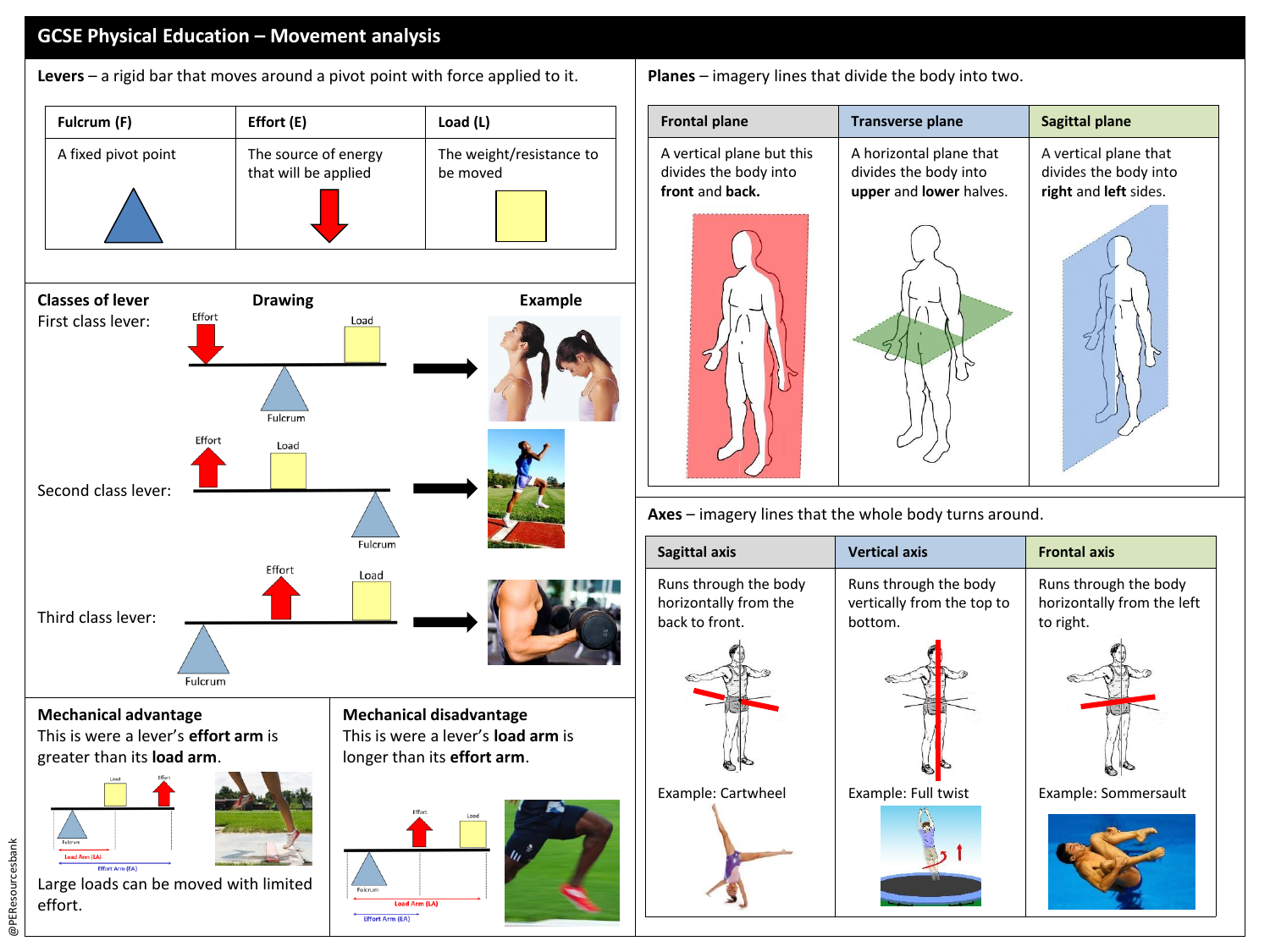## **GCSE Physical Education – Movement analysis**

**Levers** – a rigid bar that moves around a pivot point with force applied to it. **Planes** – imagery lines that divide the body into two.



@PEResourcesbank

@PEResourcesbank

|  | <b>Frontal plane</b>                                                  | <b>Transverse plane</b>                                                     | <b>Sagittal plane</b>                                                   |  |
|--|-----------------------------------------------------------------------|-----------------------------------------------------------------------------|-------------------------------------------------------------------------|--|
|  | A vertical plane but this<br>divides the body into<br>front and back. | A horizontal plane that<br>divides the body into<br>upper and lower halves. | A vertical plane that<br>divides the body into<br>right and left sides. |  |
|  |                                                                       |                                                                             |                                                                         |  |
|  | Axes - imagery lines that the whole body turns around.                |                                                                             |                                                                         |  |
|  |                                                                       |                                                                             |                                                                         |  |
|  | Sagittal axis                                                         | <b>Vertical axis</b>                                                        | <b>Frontal axis</b>                                                     |  |
|  | Runs through the body<br>horizontally from the<br>back to front.      | Runs through the body<br>vertically from the top to<br>bottom.              | Runs through the body<br>horizontally from the left<br>to right.        |  |
|  |                                                                       |                                                                             |                                                                         |  |